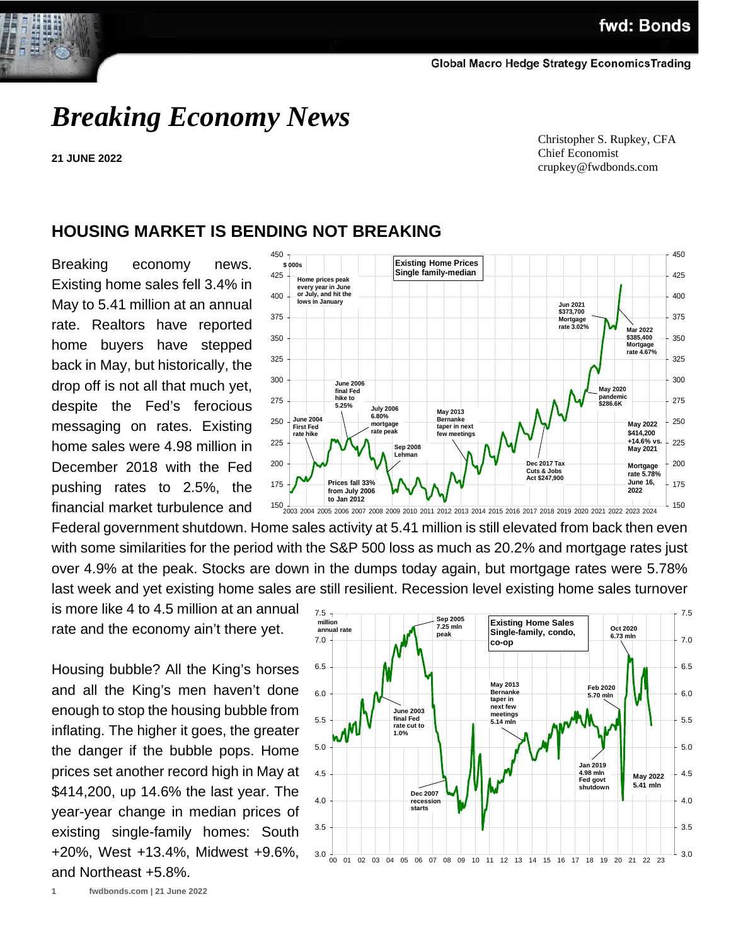

**21 JUNE 2022**

 Christopher S. Rupkey, CFA Chief Economist crupkey@fwdbonds.com

## **HOUSING MARKET IS BENDING NOT BREAKING**

Breaking economy news. Existing home sales fell 3.4% in May to 5.41 million at an annual rate. Realtors have reported home buyers have stepped back in May, but historically, the drop off is not all that much yet, despite the Fed's ferocious messaging on rates. Existing home sales were 4.98 million in December 2018 with the Fed pushing rates to 2.5%, the financial market turbulence and



Federal government shutdown. Home sales activity at 5.41 million is still elevated from back then even with some similarities for the period with the S&P 500 loss as much as 20.2% and mortgage rates just over 4.9% at the peak. Stocks are down in the dumps today again, but mortgage rates were 5.78% last week and yet existing home sales are still resilient. Recession level existing home sales turnover

is more like 4 to 4.5 million at an annual rate and the economy ain't there yet.

Housing bubble? All the King's horses and all the King's men haven't done enough to stop the housing bubble from inflating. The higher it goes, the greater the danger if the bubble pops. Home prices set another record high in May at \$414,200, up 14.6% the last year. The year-year change in median prices of existing single-family homes: South +20%, West +13.4%, Midwest +9.6%, and Northeast +5.8%.

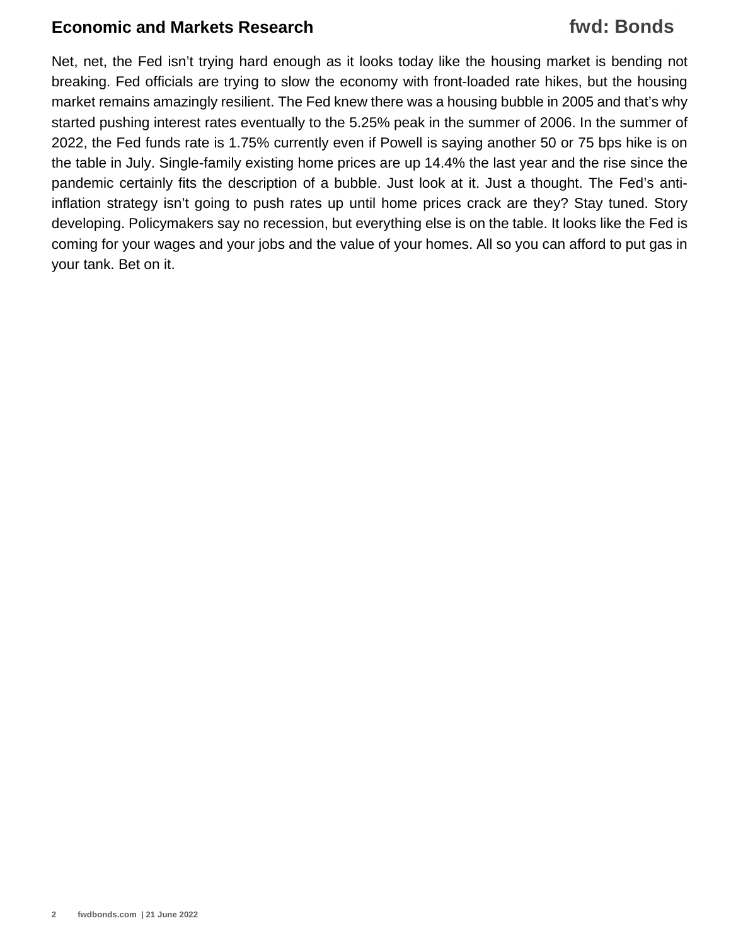## **Economic and Markets Research**

# **fwd: Bonds**

Net, net, the Fed isn't trying hard enough as it looks today like the housing market is bending not breaking. Fed officials are trying to slow the economy with front-loaded rate hikes, but the housing market remains amazingly resilient. The Fed knew there was a housing bubble in 2005 and that's why started pushing interest rates eventually to the 5.25% peak in the summer of 2006. In the summer of 2022, the Fed funds rate is 1.75% currently even if Powell is saying another 50 or 75 bps hike is on the table in July. Single-family existing home prices are up 14.4% the last year and the rise since the pandemic certainly fits the description of a bubble. Just look at it. Just a thought. The Fed's antiinflation strategy isn't going to push rates up until home prices crack are they? Stay tuned. Story developing. Policymakers say no recession, but everything else is on the table. It looks like the Fed is coming for your wages and your jobs and the value of your homes. All so you can afford to put gas in your tank. Bet on it.